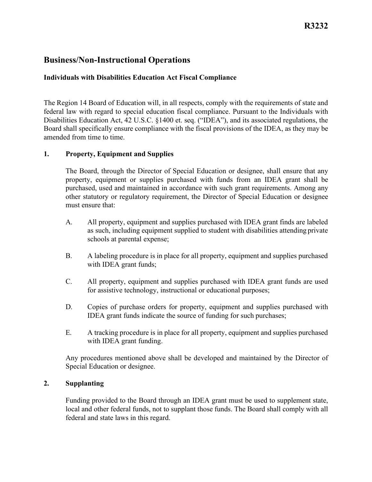# **Business/Non-Instructional Operations**

# **Individuals with Disabilities Education Act Fiscal Compliance**

 The Region 14 Board of Education will, in all respects, comply with the requirements of state and Board shall specifically ensure compliance with the fiscal provisions of the IDEA, as they may be amended from time to time. federal law with regard to special education fiscal compliance. Pursuant to the Individuals with Disabilities Education Act, 42 U.S.C. §1400 et. seq. ("IDEA"), and its associated regulations, the

# **1. Property, Equipment and Supplies**

The Board, through the Director of Special Education or designee, shall ensure that any property, equipment or supplies purchased with funds from an IDEA grant shall be purchased, used and maintained in accordance with such grant requirements. Among any other statutory or regulatory requirement, the Director of Special Education or designee must ensure that:

- as such, including equipment supplied to student with disabilities attending private schools at parental expense; A. All property, equipment and supplies purchased with IDEA grant finds are labeled
- B. A labeling procedure is in place for all property, equipment and supplies purchased with IDEA grant funds;
- for assistive technology, instructional or educational purposes; C. All property, equipment and supplies purchased with IDEA grant funds are used
- IDEA grant funds indicate the source of funding for such purchases; D. Copies of purchase orders for property, equipment and supplies purchased with
- E. A tracking procedure is in place for all property, equipment and supplies purchased with IDEA grant funding.

Any procedures mentioned above shall be developed and maintained by the Director of Special Education or designee.

## **2. Supplanting**

 local and other federal funds, not to supplant those funds. The Board shall comply with all federal and state laws in this regard. Funding provided to the Board through an IDEA grant must be used to supplement state,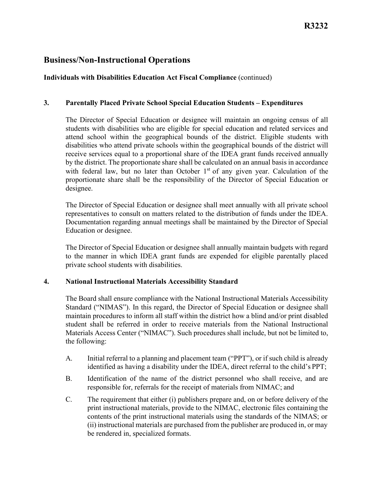# **Business/Non-Instructional Operations**

# **Individuals with Disabilities Education Act Fiscal Compliance** (continued)

## **3. Parentally Placed Private School Special Education Students – Expenditures**

 by the district. The proportionate share shall be calculated on an annual basis in accordance The Director of Special Education or designee will maintain an ongoing census of all students with disabilities who are eligible for special education and related services and attend school within the geographical bounds of the district. Eligible students with disabilities who attend private schools within the geographical bounds of the district will receive services equal to a proportional share of the IDEA grant funds received annually with federal law, but no later than October  $1<sup>st</sup>$  of any given year. Calculation of the proportionate share shall be the responsibility of the Director of Special Education or designee.

 representatives to consult on matters related to the distribution of funds under the IDEA. The Director of Special Education or designee shall meet annually with all private school Documentation regarding annual meetings shall be maintained by the Director of Special Education or designee.

 The Director of Special Education or designee shall annually maintain budgets with regard private school students with disabilities. to the manner in which IDEA grant funds are expended for eligible parentally placed

#### **4. National Instructional Materials Accessibility Standard**

 The Board shall ensure compliance with the National Instructional Materials Accessibility maintain procedures to inform all staff within the district how a blind and/or print disabled Materials Access Center ("NIMAC"). Such procedures shall include, but not be limited to, the following: Standard ("NIMAS"). In this regard, the Director of Special Education or designee shall student shall be referred in order to receive materials from the National Instructional

- A. Initial referral to a planning and placement team ("PPT"), or if such child is already identified as having a disability under the IDEA, direct referral to the child's PPT;
- responsible for, referrals for the receipt of materials from NIMAC; and B. Identification of the name of the district personnel who shall receive, and are
- contents of the print instructional materials using the standards of the NIMAS; or (ii) instructional materials are purchased from the publisher are produced in, or may be rendered in, specialized formats. C. The requirement that either (i) publishers prepare and, on or before delivery of the print instructional materials, provide to the NIMAC, electronic files containing the